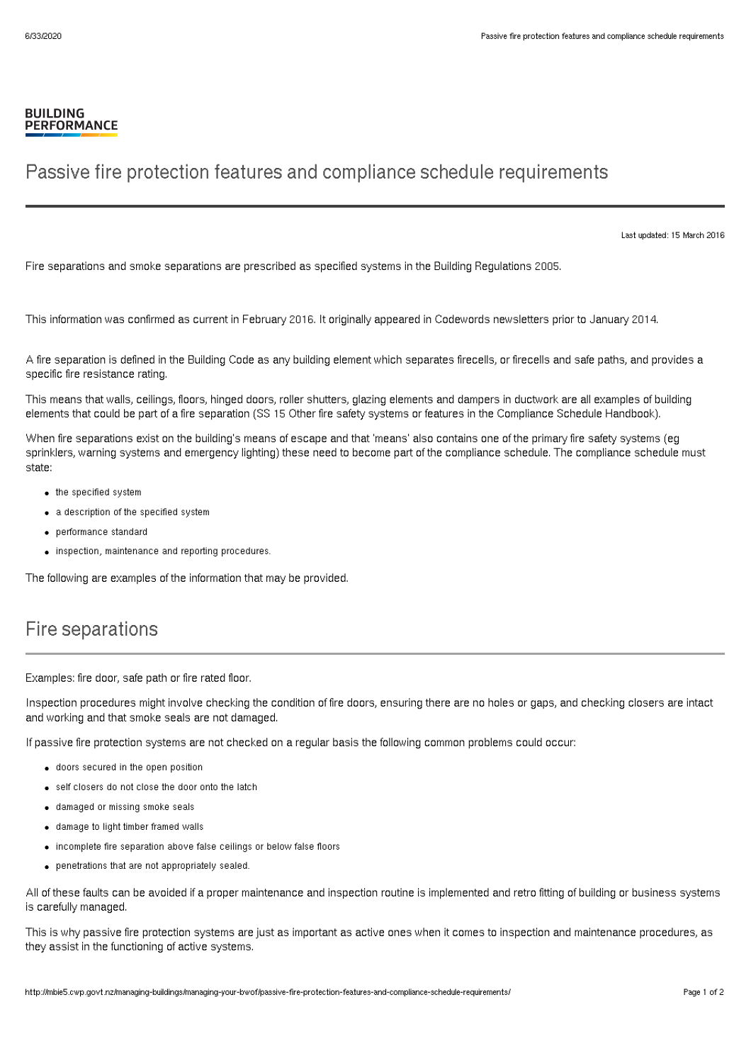## **BUILDING PERFORMANCE**

## Passive fire protection features and compliance schedule requirements

Last updated: 15 March 2016

Fire separations and smoke separations are prescribed as specified systems in the Building Regulations 2005.

This information was confirmed as current in February 2016. It originally appeared in Codewords newsletters prior to January 2014.

A fire separation is defined in the Building Code as any building element which separates firecells, or firecells and safe paths, and provides a specific fire resistance rating.

This means that walls, ceilings, floors, hinged doors, roller shutters, glazing elements and dampers in ductwork are all examples of building elements that could be part of a fire separation (SS 15 Other fire safety systems or features in the Compliance Schedule Handbook).

When fire separations exist on the building's means of escape and that 'means' also contains one of the primary fire safety systems (eg sprinklers, warning systems and emergency lighting) these need to become part of the compliance schedule. The compliance schedule must state:

- the specified system
- a description of the specified system
- performance standard
- $\bullet$  inspection, maintenance and reporting procedures.

The following are examples of the information that may be provided.

## Fire separations

Examples: fire door, safe path or fire rated floor.

Inspection procedures might involve checking the condition of fire doors, ensuring there are no holes or gaps, and checking closers are intact and working and that smoke seals are not damaged.

If passive fire protection systems are not checked on a regular basis the following common problems could occur:

- doors secured in the open position
- self closers do not close the door onto the latch
- damaged or missing smoke seals
- damage to light timber framed walls
- incomplete fire separation above false ceilings or below false floors
- penetrations that are not appropriately sealed.

All of these faults can be avoided if a proper maintenance and inspection routine is implemented and retro fitting of building or business systems is carefully managed.

This is why passive fire protection systems are just as important as active ones when it comes to inspection and maintenance procedures, as they assist in the functioning of active systems.